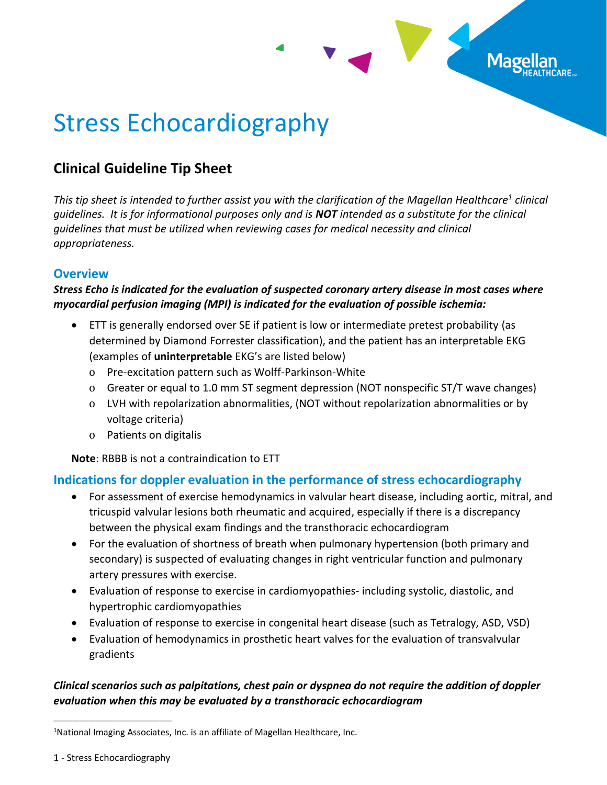

# Stress Echocardiography

## **Clinical Guideline Tip Sheet**

*This tip sheet is intended to further assist you with the clarification of the Magellan Healthcare<sup>1</sup> clinical guidelines. It is for informational purposes only and is NOT intended as a substitute for the clinical guidelines that must be utilized when reviewing cases for medical necessity and clinical appropriateness.*

#### **Overview**

#### *Stress Echo is indicated for the evaluation of suspected coronary artery disease in most cases where myocardial perfusion imaging (MPI) is indicated for the evaluation of possible ischemia:*

- ETT is generally endorsed over SE if patient is low or intermediate pretest probability (as determined by Diamond Forrester classification), and the patient has an interpretable EKG (examples of **uninterpretable** EKG's are listed below)
	- o Pre-excitation pattern such as Wolff-Parkinson-White
	- o Greater or equal to 1.0 mm ST segment depression (NOT nonspecific ST/T wave changes)
	- o LVH with repolarization abnormalities, (NOT without repolarization abnormalities or by voltage criteria)
	- o Patients on digitalis

**Note**: RBBB is not a contraindication to ETT

### **Indications for doppler evaluation in the performance of stress echocardiography**

- For assessment of exercise hemodynamics in valvular heart disease, including aortic, mitral, and tricuspid valvular lesions both rheumatic and acquired, especially if there is a discrepancy between the physical exam findings and the transthoracic echocardiogram
- For the evaluation of shortness of breath when pulmonary hypertension (both primary and secondary) is suspected of evaluating changes in right ventricular function and pulmonary artery pressures with exercise.
- Evaluation of response to exercise in cardiomyopathies-including systolic, diastolic, and hypertrophic cardiomyopathies
- Evaluation of response to exercise in congenital heart disease (such as Tetralogy, ASD, VSD)
- Evaluation of hemodynamics in prosthetic heart valves for the evaluation of transvalvular gradients

#### *Clinical scenarios such as palpitations, chest pain or dyspnea do not require the addition of doppler evaluation when this may be evaluated by a transthoracic echocardiogram*

1 - Stress Echocardiography

\_\_\_\_\_\_\_\_\_\_\_\_\_\_\_\_\_\_\_\_\_\_\_\_\_\_\_\_\_\_\_\_\_\_\_\_\_

<sup>&</sup>lt;sup>1</sup>National Imaging Associates, Inc. is an affiliate of Magellan Healthcare, Inc.